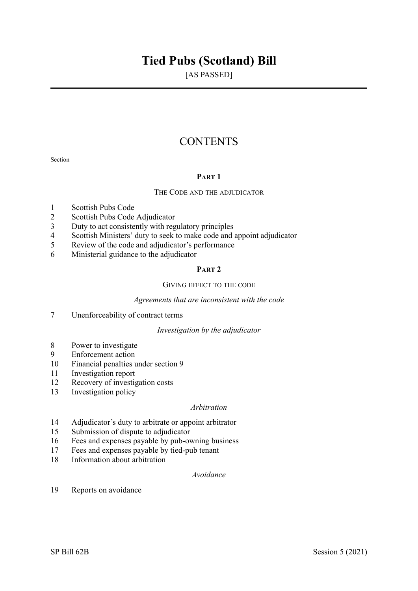# **Tied Pubs (Scotland) Bill**

[AS PASSED]

# **CONTENTS**

Section

# **PART 1**

# THE CODE AND THE ADJUDICATOR

- 1 Scottish Pubs Code
- 2 Scottish Pubs Code Adjudicator<br>3 Duty to act consistently with reg
- Duty to act consistently with regulatory principles
- 4 Scottish Ministers' duty to seek to make code and appoint adjudicator
- 5 Review of the code and adjudicator's performance
- 6 Ministerial guidance to the adjudicator

# **PART 2**

# GIVING EFFECT TO THE CODE

# *Agreements that are inconsistent with the code*

7 Unenforceability of contract terms

# *Investigation by the adjudicator*

- 8 Power to investigate
- 9 Enforcement action
- 10 Financial penalties under section 9
- 11 Investigation report
- 12 Recovery of investigation costs
- 13 Investigation policy

# *Arbitration*

- 14 Adjudicator's duty to arbitrate or appoint arbitrator
- 15 Submission of dispute to adjudicator
- 16 Fees and expenses payable by pub-owning business
- 17 Fees and expenses payable by tied-pub tenant
- 18 Information about arbitration

# *Avoidance*

19 Reports on avoidance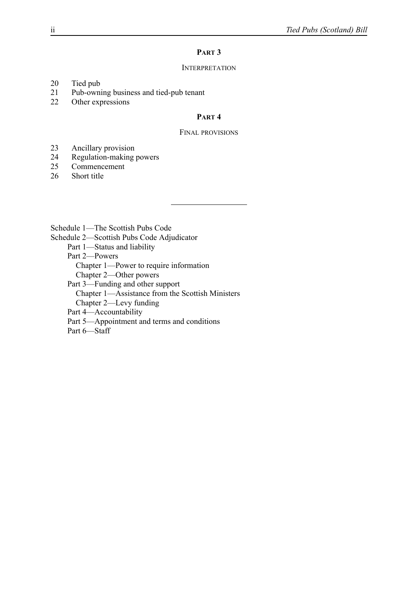# **PART 3**

# **INTERPRETATION**

- 20 Tied pub<br>21 Pub-own
- Pub-owning business and tied-pub tenant
- 22 Other expressions

# **PART 4**

# FINAL PROVISIONS

- 23 Ancillary provision
- 24 Regulation-making powers<br>25 Commencement
- **Commencement**
- 26 Short title

Schedule 1—The Scottish Pubs Code

Schedule 2—Scottish Pubs Code Adjudicator

Part 1—Status and liability

Part 2—Powers

Chapter 1—Power to require information

Chapter 2—Other powers

Part 3—Funding and other support

Chapter 1—Assistance from the Scottish Ministers

Chapter 2—Levy funding

Part 4—Accountability

Part 5—Appointment and terms and conditions

Part 6-Staff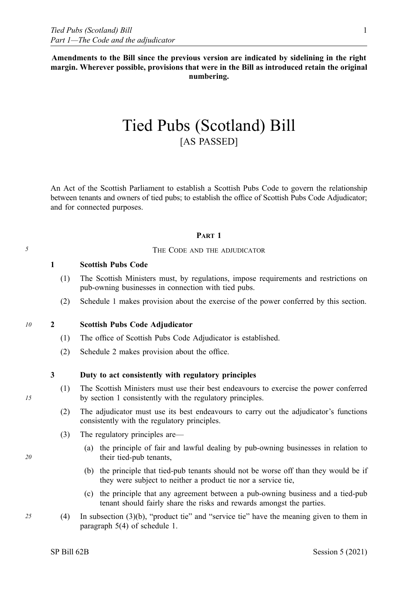**Amendments to the Bill since the previous version are indicated by sidelining in the right margin. Wherever possible, provisions that were in the Bill as introduced retain the original numbering.** 

# Tied Pubs (Scotland) Bill [AS PASSED]

An Act of the Scottish Parliament to establish a Scottish Pubs Code to govern the relationship between tenants and owners of tied pubs; to establish the office of Scottish Pubs Code Adjudicator; and for connected purposes.

# **PART 1**

# *5* THE CODE AND THE ADJUDICATOR

# **1 Scottish Pubs Code**

- (1) The Scottish Ministers must, by regulations, impose requirements and restrictions on pub-owning businesses in connection with tied pubs.
- (2) Schedule 1 makes provision about the exercise of the power conferred by this section.

# *10* **2 Scottish Pubs Code Adjudicator**

- (1) The office of Scottish Pubs Code Adjudicator is established.
- (2) Schedule 2 makes provision about the office.

# **3 Duty to act consistently with regulatory principles**

- (1) The Scottish Ministers must use their best endeavours to exercise the power conferred by section 1 consistently with the regulatory principles.
- (2) The adjudicator must use its best endeavours to carry out the adjudicator's functions consistently with the regulatory principles.
- (3) The regulatory principles are—
	- (a) the principle of fair and lawful dealing by pub-owning businesses in relation to their tied-pub tenants,
	- (b) the principle that tied-pub tenants should not be worse off than they would be if they were subject to neither a product tie nor a service tie,
	- (c) the principle that any agreement between a pub-owning business and a tied-pub tenant should fairly share the risks and rewards amongst the parties.
- *25* (4) In subsection (3)(b), "product tie" and "service tie" have the meaning given to them in paragraph 5(4) of schedule 1.

*15*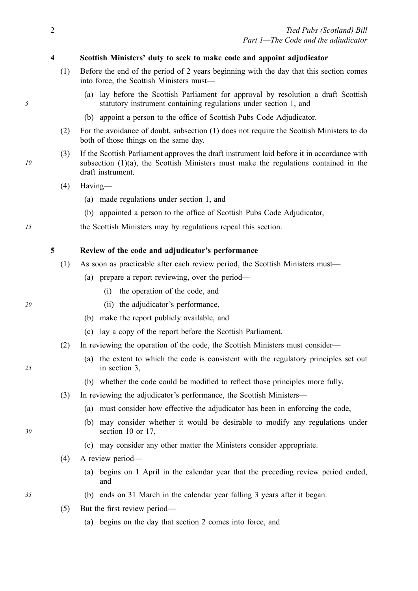# **4 Scottish Ministers' duty to seek to make code and appoint adjudicator**

- (1) Before the end of the period of 2 years beginning with the day that this section comes into force, the Scottish Ministers must—
	- (a) lay before the Scottish Parliament for approval by resolution a draft Scottish statutory instrument containing regulations under section 1, and
	- (b) appoint a person to the office of Scottish Pubs Code Adjudicator.
- (2) For the avoidance of doubt, subsection (1) does not require the Scottish Ministers to do both of those things on the same day.
- (3) If the Scottish Parliament approves the draft instrument laid before it in accordance with subsection (1)(a), the Scottish Ministers must make the regulations contained in the draft instrument.
- (4) Having—
	- (a) made regulations under section 1, and
	- (b) appointed a person to the office of Scottish Pubs Code Adjudicator,
- *15* the Scottish Ministers may by regulations repeal this section.

#### **5 Review of the code and adjudicator's performance**

- (1) As soon as practicable after each review period, the Scottish Ministers must—
	- (a) prepare a report reviewing, over the period—
		- (i) the operation of the code, and
- *20* (ii) the adjudicator's performance,
	- (b) make the report publicly available, and
	- (c) lay a copy of the report before the Scottish Parliament.
	- (2) In reviewing the operation of the code, the Scottish Ministers must consider—
		- (a) the extent to which the code is consistent with the regulatory principles set out in section 3,
		- (b) whether the code could be modified to reflect those principles more fully.
	- (3) In reviewing the adjudicator's performance, the Scottish Ministers—
		- (a) must consider how effective the adjudicator has been in enforcing the code,
		- (b) may consider whether it would be desirable to modify any regulations under section 10 or 17,
		- (c) may consider any other matter the Ministers consider appropriate.
	- (4) A review period—
		- (a) begins on 1 April in the calendar year that the preceding review period ended, and
- *35* (b) ends on 31 March in the calendar year falling 3 years after it began.
	- (5) But the first review period—
		- (a) begins on the day that section 2 comes into force, and

*10* 

*5* 

*25*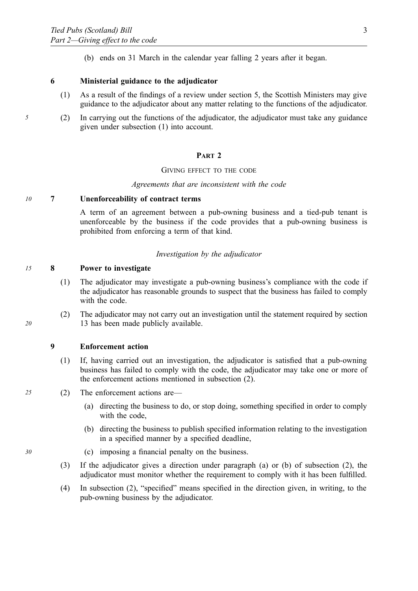(b) ends on 31 March in the calendar year falling 2 years after it began.

# **6 Ministerial guidance to the adjudicator**

- (1) As a result of the findings of a review under section 5, the Scottish Ministers may give guidance to the adjudicator about any matter relating to the functions of the adjudicator.
- *5* (2) In carrying out the functions of the adjudicator, the adjudicator must take any guidance given under subsection (1) into account.

#### **PART 2**

#### GIVING EFFECT TO THE CODE

#### *Agreements that are inconsistent with the code*

### *10* **7 Unenforceability of contract terms**

A term of an agreement between a pub-owning business and a tied-pub tenant is unenforceable by the business if the code provides that a pub-owning business is prohibited from enforcing a term of that kind.

#### *Investigation by the adjudicator*

# *15* **8 Power to investigate**

- (1) The adjudicator may investigate a pub-owning business's compliance with the code if the adjudicator has reasonable grounds to suspect that the business has failed to comply with the code.
- (2) The adjudicator may not carry out an investigation until the statement required by section 13 has been made publicly available.

### **9 Enforcement action**

- (1) If, having carried out an investigation, the adjudicator is satisfied that a pub-owning business has failed to comply with the code, the adjudicator may take one or more of the enforcement actions mentioned in subsection (2).
- *25* (2) The enforcement actions are—
	- (a) directing the business to do, or stop doing, something specified in order to comply with the code,
	- (b) directing the business to publish specified information relating to the investigation in a specified manner by a specified deadline,
- *30* (c) imposing a financial penalty on the business.
	- (3) If the adjudicator gives a direction under paragraph (a) or (b) of subsection (2), the adjudicator must monitor whether the requirement to comply with it has been fulfilled.
	- (4) In subsection (2), "specified" means specified in the direction given, in writing, to the pub-owning business by the adjudicator.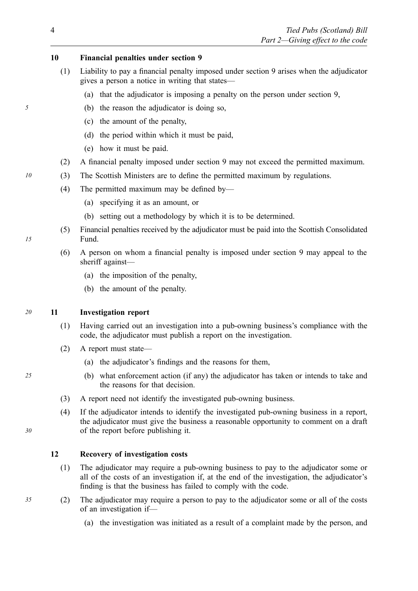# **10 Financial penalties under section 9**

- (1) Liability to pay a financial penalty imposed under section 9 arises when the adjudicator gives a person a notice in writing that states—
	- (a) that the adjudicator is imposing a penalty on the person under section 9,
- *5* (b) the reason the adjudicator is doing so,
	- (c) the amount of the penalty,
	- (d) the period within which it must be paid,
	- (e) how it must be paid.
	- (2) A financial penalty imposed under section 9 may not exceed the permitted maximum.
- *10* (3) The Scottish Ministers are to define the permitted maximum by regulations.
	- (4) The permitted maximum may be defined by—
		- (a) specifying it as an amount, or
		- (b) setting out a methodology by which it is to be determined.
	- (5) Financial penalties received by the adjudicator must be paid into the Scottish Consolidated Fund.
	- (6) A person on whom a financial penalty is imposed under section 9 may appeal to the sheriff against—
		- (a) the imposition of the penalty,
		- (b) the amount of the penalty.

#### *20* **11 Investigation report**

- (1) Having carried out an investigation into a pub-owning business's compliance with the code, the adjudicator must publish a report on the investigation.
- (2) A report must state—
	- (a) the adjudicator's findings and the reasons for them,
- *25* (b) what enforcement action (if any) the adjudicator has taken or intends to take and the reasons for that decision.
	- (3) A report need not identify the investigated pub-owning business.
	- (4) If the adjudicator intends to identify the investigated pub-owning business in a report, the adjudicator must give the business a reasonable opportunity to comment on a draft of the report before publishing it.

### **12 Recovery of investigation costs**

- (1) The adjudicator may require a pub-owning business to pay to the adjudicator some or all of the costs of an investigation if, at the end of the investigation, the adjudicator's finding is that the business has failed to comply with the code.
- *35* (2) The adjudicator may require a person to pay to the adjudicator some or all of the costs of an investigation if—
	- (a) the investigation was initiated as a result of a complaint made by the person, and

*15*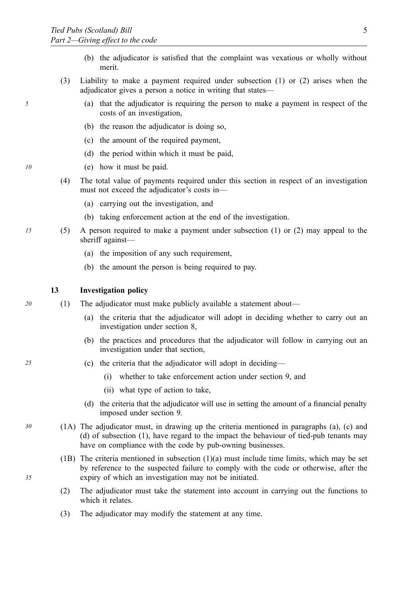- (b) the adjudicator is satisfied that the complaint was vexatious or wholly without merit.
- (3) Liability to make a payment required under subsection (1) or (2) arises when the adjudicator gives a person a notice in writing that states—
- *5* (a) that the adjudicator is requiring the person to make a payment in respect of the costs of an investigation,
	- (b) the reason the adjudicator is doing so,
	- (c) the amount of the required payment,
	- (d) the period within which it must be paid,
- *10* (e) how it must be paid.
	- (4) The total value of payments required under this section in respect of an investigation must not exceed the adjudicator's costs in—
		- (a) carrying out the investigation, and
		- (b) taking enforcement action at the end of the investigation.
- *15* (5) A person required to make a payment under subsection (1) or (2) may appeal to the sheriff against—
	- (a) the imposition of any such requirement,
	- (b) the amount the person is being required to pay.

# **13 Investigation policy**

- *20* (1) The adjudicator must make publicly available a statement about—
	- (a) the criteria that the adjudicator will adopt in deciding whether to carry out an investigation under section 8,
	- (b) the practices and procedures that the adjudicator will follow in carrying out an investigation under that section,
- *25* (c) the criteria that the adjudicator will adopt in deciding—
	- (i) whether to take enforcement action under section 9, and
	- (ii) what type of action to take,
	- (d) the criteria that the adjudicator will use in setting the amount of a financial penalty imposed under section 9.
- *30* (1A) The adjudicator must, in drawing up the criteria mentioned in paragraphs (a), (c) and (d) of subsection (1), have regard to the impact the behaviour of tied-pub tenants may have on compliance with the code by pub-owning businesses.
	- (1B) The criteria mentioned in subsection (1)(a) must include time limits, which may be set by reference to the suspected failure to comply with the code or otherwise, after the expiry of which an investigation may not be initiated.
	- (2) The adjudicator must take the statement into account in carrying out the functions to which it relates
	- (3) The adjudicator may modify the statement at any time.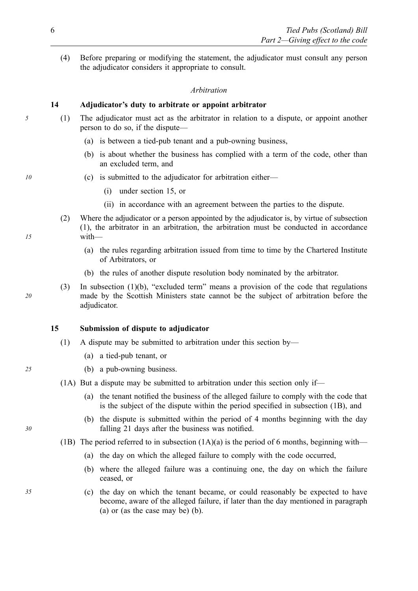(4) Before preparing or modifying the statement, the adjudicator must consult any person the adjudicator considers it appropriate to consult.

#### *Arbitration*

# **14 Adjudicator's duty to arbitrate or appoint arbitrator**

- *5* (1) The adjudicator must act as the arbitrator in relation to a dispute, or appoint another person to do so, if the dispute—
	- (a) is between a tied-pub tenant and a pub-owning business,
	- (b) is about whether the business has complied with a term of the code, other than an excluded term, and
- *10* **(c)** is submitted to the adjudicator for arbitration either—
	- (i) under section 15, or
	- (ii) in accordance with an agreement between the parties to the dispute.
	- (2) Where the adjudicator or a person appointed by the adjudicator is, by virtue of subsection (1), the arbitrator in an arbitration, the arbitration must be conducted in accordance with—
		- (a) the rules regarding arbitration issued from time to time by the Chartered Institute of Arbitrators, or
		- (b) the rules of another dispute resolution body nominated by the arbitrator.
	- (3) In subsection  $(1)(b)$ , "excluded term" means a provision of the code that regulations made by the Scottish Ministers state cannot be the subject of arbitration before the adjudicator.

# **15 Submission of dispute to adjudicator**

- (1) A dispute may be submitted to arbitration under this section by—
	- (a) a tied-pub tenant, or
- *25* (b) a pub-owning business.
	- (1A) But a dispute may be submitted to arbitration under this section only if—
		- (a) the tenant notified the business of the alleged failure to comply with the code that is the subject of the dispute within the period specified in subsection (1B), and
		- (b) the dispute is submitted within the period of 4 months beginning with the day falling 21 days after the business was notified.
	- (1B) The period referred to in subsection  $(1A)(a)$  is the period of 6 months, beginning with—
		- (a) the day on which the alleged failure to comply with the code occurred,
		- (b) where the alleged failure was a continuing one, the day on which the failure ceased, or
- *35* (c) the day on which the tenant became, or could reasonably be expected to have become, aware of the alleged failure, if later than the day mentioned in paragraph (a) or (as the case may be) (b).

*15* 

*20*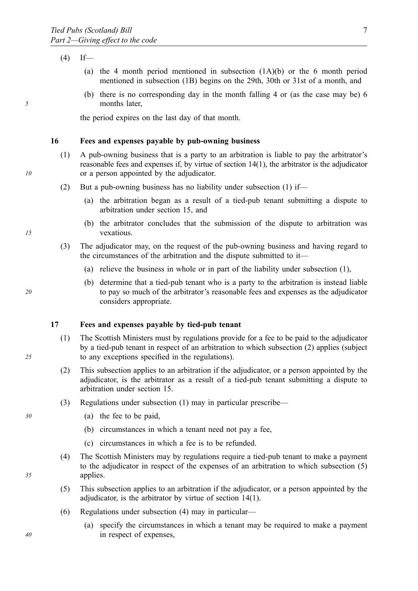$(4)$  If—

- (a) the 4 month period mentioned in subsection (1A)(b) or the 6 month period mentioned in subsection (1B) begins on the 29th, 30th or 31st of a month, and
- (b) there is no corresponding day in the month falling 4 or (as the case may be) 6 months later,

the period expires on the last day of that month.

# **16 Fees and expenses payable by pub-owning business**

- (1) A pub-owning business that is a party to an arbitration is liable to pay the arbitrator's reasonable fees and expenses if, by virtue of section 14(1), the arbitrator is the adjudicator or a person appointed by the adjudicator.
- (2) But a pub-owning business has no liability under subsection (1) if—
	- (a) the arbitration began as a result of a tied-pub tenant submitting a dispute to arbitration under section 15, and
	- (b) the arbitrator concludes that the submission of the dispute to arbitration was vexatious.
- (3) The adjudicator may, on the request of the pub-owning business and having regard to the circumstances of the arbitration and the dispute submitted to it—
	- (a) relieve the business in whole or in part of the liability under subsection (1),
	- (b) determine that a tied-pub tenant who is a party to the arbitration is instead liable to pay so much of the arbitrator's reasonable fees and expenses as the adjudicator considers appropriate.

#### **17 Fees and expenses payable by tied-pub tenant**

- (1) The Scottish Ministers must by regulations provide for a fee to be paid to the adjudicator by a tied-pub tenant in respect of an arbitration to which subsection (2) applies (subject to any exceptions specified in the regulations).
- (2) This subsection applies to an arbitration if the adjudicator, or a person appointed by the adjudicator, is the arbitrator as a result of a tied-pub tenant submitting a dispute to arbitration under section 15.
- (3) Regulations under subsection (1) may in particular prescribe—
- *30* (a) the fee to be paid,
	- (b) circumstances in which a tenant need not pay a fee,
	- (c) circumstances in which a fee is to be refunded.
	- (4) The Scottish Ministers may by regulations require a tied-pub tenant to make a payment to the adjudicator in respect of the expenses of an arbitration to which subsection (5) applies.
	- (5) This subsection applies to an arbitration if the adjudicator, or a person appointed by the adjudicator, is the arbitrator by virtue of section 14(1).
	- (6) Regulations under subsection (4) may in particular—
		- (a) specify the circumstances in which a tenant may be required to make a payment in respect of expenses,

*5* 

*10* 

*15* 

*20* 

*40*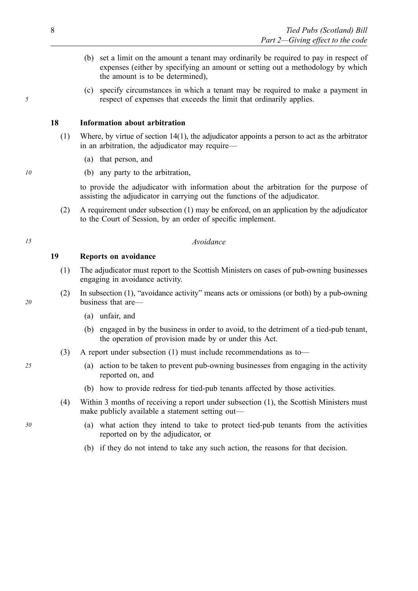- (b) set a limit on the amount a tenant may ordinarily be required to pay in respect of expenses (either by specifying an amount or setting out a methodology by which the amount is to be determined),
- (c) specify circumstances in which a tenant may be required to make a payment in respect of expenses that exceeds the limit that ordinarily applies.

# **18 Information about arbitration**

- (1) Where, by virtue of section 14(1), the adjudicator appoints a person to act as the arbitrator in an arbitration, the adjudicator may require—
	- (a) that person, and
- *10* (b) any party to the arbitration,

to provide the adjudicator with information about the arbitration for the purpose of assisting the adjudicator in carrying out the functions of the adjudicator.

(2) A requirement under subsection (1) may be enforced, on an application by the adjudicator to the Court of Session, by an order of specific implement.

# *15 Avoidance*

### **19 Reports on avoidance**

- (1) The adjudicator must report to the Scottish Ministers on cases of pub-owning businesses engaging in avoidance activity.
- (2) In subsection (1), "avoidance activity" means acts or omissions (or both) by a pub-owning business that are—
	- (a) unfair, and
	- (b) engaged in by the business in order to avoid, to the detriment of a tied-pub tenant, the operation of provision made by or under this Act.
- (3) A report under subsection (1) must include recommendations as to—
- *25* (a) action to be taken to prevent pub-owning businesses from engaging in the activity reported on, and
	- (b) how to provide redress for tied-pub tenants affected by those activities.
	- (4) Within 3 months of receiving a report under subsection (1), the Scottish Ministers must make publicly available a statement setting out—
- *30* (a) what action they intend to take to protect tied-pub tenants from the activities reported on by the adjudicator, or
	- (b) if they do not intend to take any such action, the reasons for that decision.

*5*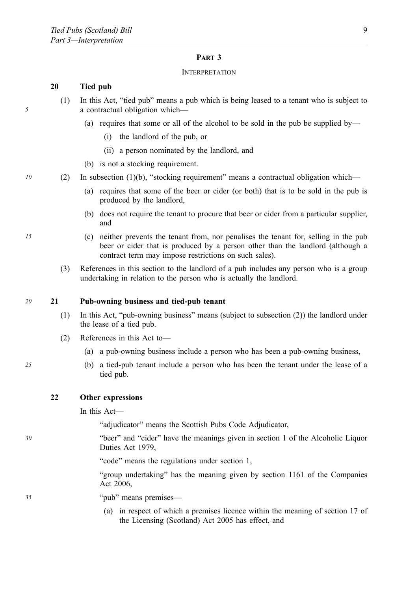### **PART 3**

#### **INTERPRETATION**

# **20 Tied pub**

- (1) In this Act, "tied pub" means a pub which is being leased to a tenant who is subject to a contractual obligation which—
	- (a) requires that some or all of the alcohol to be sold in the pub be supplied by—
		- (i) the landlord of the pub, or
		- (ii) a person nominated by the landlord, and
	- (b) is not a stocking requirement.
- *10* (2) In subsection (1)(b), "stocking requirement" means a contractual obligation which—
	- (a) requires that some of the beer or cider (or both) that is to be sold in the pub is produced by the landlord,
	- (b) does not require the tenant to procure that beer or cider from a particular supplier, and
- *15* (c) neither prevents the tenant from, nor penalises the tenant for, selling in the pub beer or cider that is produced by a person other than the landlord (although a contract term may impose restrictions on such sales).
	- (3) References in this section to the landlord of a pub includes any person who is a group undertaking in relation to the person who is actually the landlord.

#### *20* **21 Pub-owning business and tied-pub tenant**

- (1) In this Act, "pub-owning business" means (subject to subsection (2)) the landlord under the lease of a tied pub.
- (2) References in this Act to—
	- (a) a pub-owning business include a person who has been a pub-owning business,
- *25* (b) a tied-pub tenant include a person who has been the tenant under the lease of a tied pub.

# **22 Other expressions**

In this Act—

"adjudicator" means the Scottish Pubs Code Adjudicator,

*30* "beer" and "cider" have the meanings given in section 1 of the Alcoholic Liquor Duties Act 1979,

"code" means the regulations under section 1,

"group undertaking" has the meaning given by section 1161 of the Companies Act 2006,

*35* "pub" means premises—

(a) in respect of which a premises licence within the meaning of section 17 of the Licensing (Scotland) Act 2005 has effect, and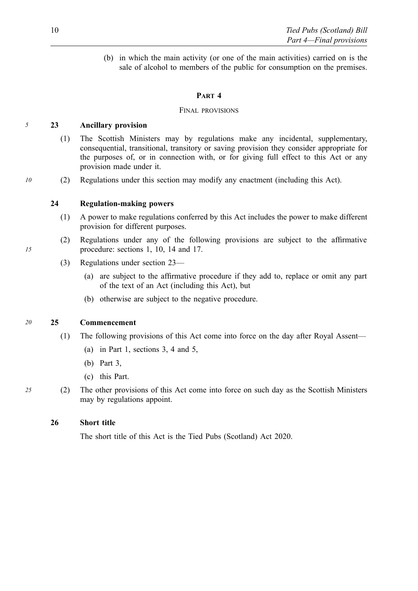(b) in which the main activity (or one of the main activities) carried on is the sale of alcohol to members of the public for consumption on the premises.

# **PART 4**

# FINAL PROVISIONS

# *5* **23 Ancillary provision**

- (1) The Scottish Ministers may by regulations make any incidental, supplementary, consequential, transitional, transitory or saving provision they consider appropriate for the purposes of, or in connection with, or for giving full effect to this Act or any provision made under it.
- *10* (2) Regulations under this section may modify any enactment (including this Act).

# **24 Regulation-making powers**

- (1) A power to make regulations conferred by this Act includes the power to make different provision for different purposes.
- (2) Regulations under any of the following provisions are subject to the affirmative procedure: sections 1, 10, 14 and 17.
- (3) Regulations under section 23—
	- (a) are subject to the affirmative procedure if they add to, replace or omit any part of the text of an Act (including this Act), but
	- (b) otherwise are subject to the negative procedure.

# *20* **25 Commencement**

- (1) The following provisions of this Act come into force on the day after Royal Assent—
	- (a) in Part 1, sections 3, 4 and 5,
	- (b) Part 3,
	- (c) this Part.
- *25* (2) The other provisions of this Act come into force on such day as the Scottish Ministers may by regulations appoint.

# **26 Short title**

The short title of this Act is the Tied Pubs (Scotland) Act 2020.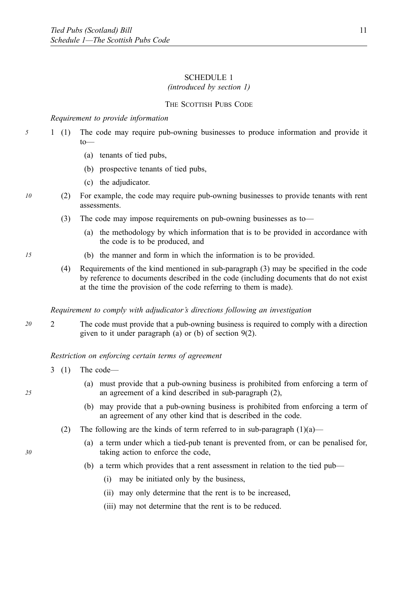# SCHEDULE 1

# *(introduced by section 1)*

# THE SCOTTISH PUBS CODE

# *Requirement to provide information*

- 5 1 (1) The code may require pub-owning businesses to produce information and provide it to—  $1(1)$ 
	- (a) tenants of tied pubs,
	- (b) prospective tenants of tied pubs,
	- (c) the adjudicator.
- *10* (2) For example, the code may require pub-owning businesses to provide tenants with rent assessments.
	- (3) The code may impose requirements on pub-owning businesses as to—
		- (a) the methodology by which information that is to be provided in accordance with the code is to be produced, and
- *15* (b) the manner and form in which the information is to be provided.
	- (4) Requirements of the kind mentioned in sub-paragraph (3) may be specified in the code by reference to documents described in the code (including documents that do not exist at the time the provision of the code referring to them is made).

#### *Requirement to comply with adjudicator's directions following an investigation*

*20* 2 The code must provide that a pub-owning business is required to comply with a direction given to it under paragraph (a) or (b) of section 9(2).

### *Restriction on enforcing certain terms of agreement*

- 3 (1) The code—
	- (a) must provide that a pub-owning business is prohibited from enforcing a term of an agreement of a kind described in sub-paragraph (2),
	- (b) may provide that a pub-owning business is prohibited from enforcing a term of an agreement of any other kind that is described in the code.
	- (2) The following are the kinds of term referred to in sub-paragraph  $(1)(a)$ 
		- (a) a term under which a tied-pub tenant is prevented from, or can be penalised for, taking action to enforce the code,
		- (b) a term which provides that a rent assessment in relation to the tied pub—
			- (i) may be initiated only by the business,
			- (ii) may only determine that the rent is to be increased,
			- (iii) may not determine that the rent is to be reduced.

*30*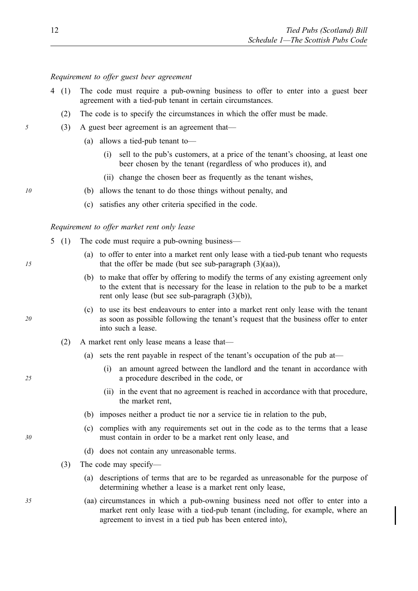# *Requirement to offer guest beer agreement*

- The code must require a pub-owning business to offer to enter into a guest beer agreement with a tied-pub tenant in certain circumstances.  $(1)$ 
	- (2) The code is to specify the circumstances in which the offer must be made.
- *5* (3) A guest beer agreement is an agreement that—
	- (a) allows a tied-pub tenant to—
		- (i) sell to the pub's customers, at a price of the tenant's choosing, at least one beer chosen by the tenant (regardless of who produces it), and
		- (ii) change the chosen beer as frequently as the tenant wishes,
- *10* (b) allows the tenant to do those things without penalty, and
	- (c) satisfies any other criteria specified in the code.

# *Requirement to offer market rent only lease*

- 5 (1) The code must require a pub-owning business—
	- (a) to offer to enter into a market rent only lease with a tied-pub tenant who requests that the offer be made (but see sub-paragraph  $(3)(aa)$ ),
	- (b) to make that offer by offering to modify the terms of any existing agreement only to the extent that is necessary for the lease in relation to the pub to be a market rent only lease (but see sub-paragraph (3)(b)),
	- (c) to use its best endeavours to enter into a market rent only lease with the tenant as soon as possible following the tenant's request that the business offer to enter into such a lease.
	- (2) A market rent only lease means a lease that—
		- (a) sets the rent payable in respect of the tenant's occupation of the pub at—
			- (i) an amount agreed between the landlord and the tenant in accordance with a procedure described in the code, or
			- (ii) in the event that no agreement is reached in accordance with that procedure, the market rent,
		- (b) imposes neither a product tie nor a service tie in relation to the pub,
		- (c) complies with any requirements set out in the code as to the terms that a lease must contain in order to be a market rent only lease, and
		- (d) does not contain any unreasonable terms.
	- (3) The code may specify—
		- (a) descriptions of terms that are to be regarded as unreasonable for the purpose of determining whether a lease is a market rent only lease,
- *35* (aa) circumstances in which a pub-owning business need not offer to enter into a market rent only lease with a tied-pub tenant (including, for example, where an agreement to invest in a tied pub has been entered into),

*15* 

*25* 

*20*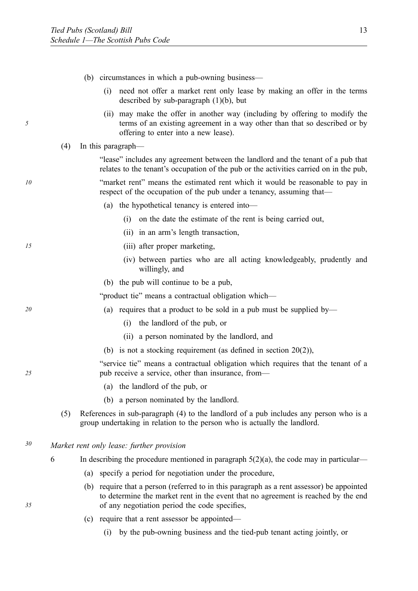- (b) circumstances in which a pub-owning business—
	- (i) need not offer a market rent only lease by making an offer in the terms described by sub-paragraph  $(1)(b)$ , but
	- (ii) may make the offer in another way (including by offering to modify the terms of an existing agreement in a way other than that so described or by offering to enter into a new lease).
- (4) In this paragraph—

"lease" includes any agreement between the landlord and the tenant of a pub that relates to the tenant's occupation of the pub or the activities carried on in the pub,

*10* "market rent" means the estimated rent which it would be reasonable to pay in respect of the occupation of the pub under a tenancy, assuming that—

- (a) the hypothetical tenancy is entered into—
	- (i) on the date the estimate of the rent is being carried out,
	- (ii) in an arm's length transaction,
- *15* (iii) after proper marketing,
	- (iv) between parties who are all acting knowledgeably, prudently and willingly, and
	- (b) the pub will continue to be a pub,

"product tie" means a contractual obligation which—

- *20* (a) requires that a product to be sold in a pub must be supplied by—
	- (i) the landlord of the pub, or
	- (ii) a person nominated by the landlord, and
	- (b) is not a stocking requirement (as defined in section 20(2)),

"service tie" means a contractual obligation which requires that the tenant of a pub receive a service, other than insurance, from—

- (a) the landlord of the pub, or
- (b) a person nominated by the landlord.
- (5) References in sub-paragraph (4) to the landlord of a pub includes any person who is a group undertaking in relation to the person who is actually the landlord.

*30 Market rent only lease: further provision* 

- 6 In describing the procedure mentioned in paragraph  $5(2)(a)$ , the code may in particular—
	- (a) specify a period for negotiation under the procedure,
	- (b) require that a person (referred to in this paragraph as a rent assessor) be appointed to determine the market rent in the event that no agreement is reached by the end of any negotiation period the code specifies,
	- (c) require that a rent assessor be appointed—
		- (i) by the pub-owning business and the tied-pub tenant acting jointly, or

*35* 

*25*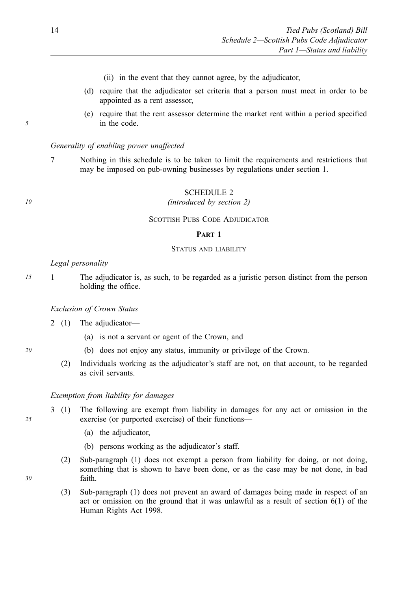- (ii) in the event that they cannot agree, by the adjudicator,
- (d) require that the adjudicator set criteria that a person must meet in order to be appointed as a rent assessor,
- (e) require that the rent assessor determine the market rent within a period specified in the code.

### *Generality of enabling power unaffected*

7 Nothing in this schedule is to be taken to limit the requirements and restrictions that may be imposed on pub-owning businesses by regulations under section 1.

# SCHEDULE 2

#### *10 (introduced by section 2)*

# SCOTTISH PUBS CODE ADJUDICATOR

# **PART 1**

# STATUS AND LIABILITY

#### *Legal personality*

*5* 

*15* 1 The adjudicator is, as such, to be regarded as a juristic person distinct from the person holding the office.

#### *Exclusion of Crown Status*

- 2 (1) The adjudicator—
	- (a) is not a servant or agent of the Crown, and
- *20* (b) does not enjoy any status, immunity or privilege of the Crown.
	- (2) Individuals working as the adjudicator's staff are not, on that account, to be regarded as civil servants.

### *Exemption from liability for damages*

- 3 (1) The following are exempt from liability in damages for any act or omission in the exercise (or purported exercise) of their functions—
	- (a) the adjudicator,
	- (b) persons working as the adjudicator's staff.
	- (2) Sub-paragraph (1) does not exempt a person from liability for doing, or not doing, something that is shown to have been done, or as the case may be not done, in bad faith.
	- (3) Sub-paragraph (1) does not prevent an award of damages being made in respect of an act or omission on the ground that it was unlawful as a result of section 6(1) of the Human Rights Act 1998.

*30*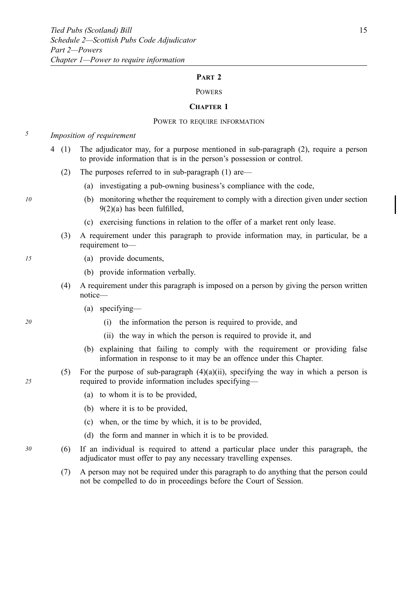#### **PART 2**

# **POWERS**

#### **CHAPTER 1**

#### POWER TO REQUIRE INFORMATION

*5 Imposition of requirement* 

- The adjudicator may, for a purpose mentioned in sub-paragraph (2), require a person to provide information that is in the person's possession or control. 4  $(1)$ 
	- (2) The purposes referred to in sub-paragraph (1) are—
		- (a) investigating a pub-owning business's compliance with the code,
- *10* (b) monitoring whether the requirement to comply with a direction given under section 9(2)(a) has been fulfilled,
	- (c) exercising functions in relation to the offer of a market rent only lease.
	- (3) A requirement under this paragraph to provide information may, in particular, be a requirement to—
- *15* (a) provide documents,
	- (b) provide information verbally.
	- (4) A requirement under this paragraph is imposed on a person by giving the person written notice—
		- (a) specifying—
- *20* (i) the information the person is required to provide, and
	- (ii) the way in which the person is required to provide it, and
	- (b) explaining that failing to comply with the requirement or providing false information in response to it may be an offence under this Chapter.
	- (5) For the purpose of sub-paragraph  $(4)(a)(ii)$ , specifying the way in which a person is required to provide information includes specifying—
		- (a) to whom it is to be provided,
		- (b) where it is to be provided,
		- (c) when, or the time by which, it is to be provided,
		- (d) the form and manner in which it is to be provided.
- *30* (6) If an individual is required to attend a particular place under this paragraph, the adjudicator must offer to pay any necessary travelling expenses.
	- (7) A person may not be required under this paragraph to do anything that the person could not be compelled to do in proceedings before the Court of Session.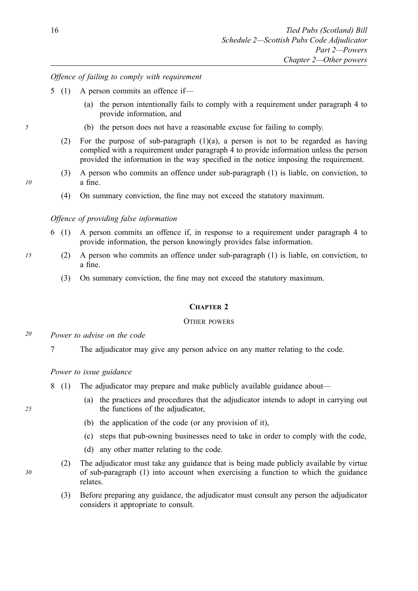# *Offence of failing to comply with requirement*

- 5 (1) A person commits an offence if—
	- (a) the person intentionally fails to comply with a requirement under paragraph 4 to provide information, and
- *5* (b) the person does not have a reasonable excuse for failing to comply.
	- (2) For the purpose of sub-paragraph (1)(a), a person is not to be regarded as having complied with a requirement under paragraph 4 to provide information unless the person provided the information in the way specified in the notice imposing the requirement.
	- (3) A person who commits an offence under sub-paragraph (1) is liable, on conviction, to a fine.
	- (4) On summary conviction, the fine may not exceed the statutory maximum.

# *Offence of providing false information*

- 6 A person commits an offence if, in response to a requirement under paragraph 4 to provide information, the person knowingly provides false information.  $6(1)$
- *15* (2) A person who commits an offence under sub-paragraph (1) is liable, on conviction, to a fine.
	- (3) On summary conviction, the fine may not exceed the statutory maximum.

# **CHAPTER 2**

#### OTHER POWERS

- *20 Power to advise on the code* 
	- 7 The adjudicator may give any person advice on any matter relating to the code.

# *Power to issue guidance*

- 8 (1) The adjudicator may prepare and make publicly available guidance about—
	- (a) the practices and procedures that the adjudicator intends to adopt in carrying out the functions of the adjudicator,
	- (b) the application of the code (or any provision of it),
	- (c) steps that pub-owning businesses need to take in order to comply with the code,
	- (d) any other matter relating to the code.
	- (2) The adjudicator must take any guidance that is being made publicly available by virtue of sub-paragraph (1) into account when exercising a function to which the guidance relates.
		- (3) Before preparing any guidance, the adjudicator must consult any person the adjudicator considers it appropriate to consult.

*25* 

*30*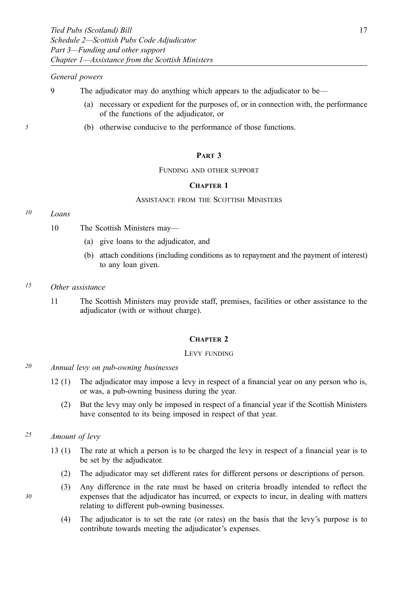# *General powers*

- 9 The adjudicator may do anything which appears to the adjudicator to be—
	- (a) necessary or expedient for the purposes of, or in connection with, the performance of the functions of the adjudicator, or
- *5* (b) otherwise conducive to the performance of those functions.

# **PART 3**

#### FUNDING AND OTHER SUPPORT

### **CHAPTER 1**

### ASSISTANCE FROM THE SCOTTISH MINISTERS

# *10 Loans*

- 10 The Scottish Ministers may—
	- (a) give loans to the adjudicator, and
	- (b) attach conditions (including conditions as to repayment and the payment of interest) to any loan given.
- *15 Other assistance* 
	- 11 The Scottish Ministers may provide staff, premises, facilities or other assistance to the adjudicator (with or without charge).

#### **CHAPTER 2**

#### LEVY FUNDING

- *20 Annual levy on pub-owning businesses* 
	- The adjudicator may impose a levy in respect of a financial year on any person who is, or was, a pub-owning business during the year.  $12(1)$ 
		- (2) But the levy may only be imposed in respect of a financial year if the Scottish Ministers have consented to its being imposed in respect of that year.

# *25 Amount of levy*

- The rate at which a person is to be charged the levy in respect of a financial year is to be set by the adjudicator.  $13(1)$ 
	- (2) The adjudicator may set different rates for different persons or descriptions of person.
	- (3) Any difference in the rate must be based on criteria broadly intended to reflect the expenses that the adjudicator has incurred, or expects to incur, in dealing with matters relating to different pub-owning businesses.
		- (4) The adjudicator is to set the rate (or rates) on the basis that the levy's purpose is to contribute towards meeting the adjudicator's expenses.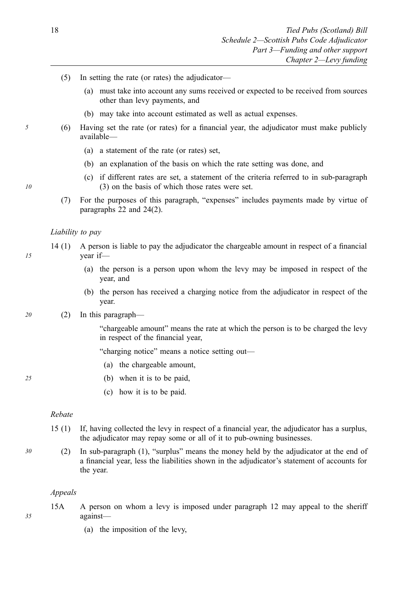- (5) In setting the rate (or rates) the adjudicator—
	- (a) must take into account any sums received or expected to be received from sources other than levy payments, and
	- (b) may take into account estimated as well as actual expenses.
- *5* (6) Having set the rate (or rates) for a financial year, the adjudicator must make publicly available—
	- (a) a statement of the rate (or rates) set,
	- (b) an explanation of the basis on which the rate setting was done, and
	- (c) if different rates are set, a statement of the criteria referred to in sub-paragraph (3) on the basis of which those rates were set.
	- (7) For the purposes of this paragraph, "expenses" includes payments made by virtue of paragraphs 22 and 24(2).

#### *Liability to pay*

- 14 (1) A person is liable to pay the adjudicator the chargeable amount in respect of a financial year if—
	- (a) the person is a person upon whom the levy may be imposed in respect of the year, and
	- (b) the person has received a charging notice from the adjudicator in respect of the year.

#### *20* (2) In this paragraph—

"chargeable amount" means the rate at which the person is to be charged the levy in respect of the financial year,

"charging notice" means a notice setting out—

- (a) the chargeable amount,
- *25* (b) when it is to be paid,
	- (c) how it is to be paid.

# *Rebate*

- 15 If, having collected the levy in respect of a financial year, the adjudicator has a surplus, the adjudicator may repay some or all of it to pub-owning businesses.  $15(1)$
- *30* (2) In sub-paragraph (1), "surplus" means the money held by the adjudicator at the end of a financial year, less the liabilities shown in the adjudicator's statement of accounts for the year.

### *Appeals*

- 15A A person on whom a levy is imposed under paragraph 12 may appeal to the sheriff against—
	- (a) the imposition of the levy,

*15* 

*10*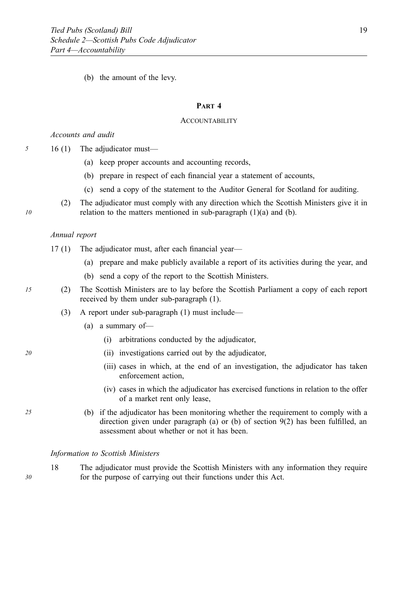(b) the amount of the levy.

# **PART 4**

#### **ACCOUNTABILITY**

# *Accounts and audit*

*5* 16 (1) The adjudicator must—

- (a) keep proper accounts and accounting records,
- (b) prepare in respect of each financial year a statement of accounts,
- (c) send a copy of the statement to the Auditor General for Scotland for auditing.
- (2) The adjudicator must comply with any direction which the Scottish Ministers give it in relation to the matters mentioned in sub-paragraph (1)(a) and (b).

# *Annual report*

- 17 (1) The adjudicator must, after each financial year—
	- (a) prepare and make publicly available a report of its activities during the year, and
	- (b) send a copy of the report to the Scottish Ministers.
- *15* (2) The Scottish Ministers are to lay before the Scottish Parliament a copy of each report received by them under sub-paragraph (1).
	- (3) A report under sub-paragraph (1) must include—
		- (a) a summary of—
			- (i) arbitrations conducted by the adjudicator,
- *20* (ii) investigations carried out by the adjudicator,
	- (iii) cases in which, at the end of an investigation, the adjudicator has taken enforcement action,
	- (iv) cases in which the adjudicator has exercised functions in relation to the offer of a market rent only lease,
- *25* (b) if the adjudicator has been monitoring whether the requirement to comply with a direction given under paragraph (a) or (b) of section  $9(2)$  has been fulfilled, an assessment about whether or not it has been.

#### *Information to Scottish Ministers*

18 The adjudicator must provide the Scottish Ministers with any information they require for the purpose of carrying out their functions under this Act.

*10*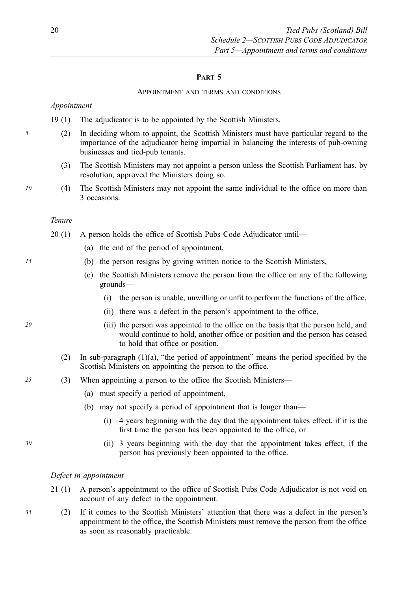# **PART 5**

#### APPOINTMENT AND TERMS AND CONDITIONS

*Appointment* 

19 (1) The adjudicator is to be appointed by the Scottish Ministers.

- *5* (2) In deciding whom to appoint, the Scottish Ministers must have particular regard to the importance of the adjudicator being impartial in balancing the interests of pub-owning businesses and tied-pub tenants.
	- (3) The Scottish Ministers may not appoint a person unless the Scottish Parliament has, by resolution, approved the Ministers doing so.
- *10* (4) The Scottish Ministers may not appoint the same individual to the office on more than 3 occasions.

### *Tenure*

- 20 (1) A person holds the office of Scottish Pubs Code Adjudicator until—
	- (a) the end of the period of appointment,
- *15* (b) the person resigns by giving written notice to the Scottish Ministers,
	- (c) the Scottish Ministers remove the person from the office on any of the following grounds—
		- (i) the person is unable, unwilling or unfit to perform the functions of the office,
		- (ii) there was a defect in the person's appointment to the office,
- *20* (iii) the person was appointed to the office on the basis that the person held, and would continue to hold, another office or position and the person has ceased to hold that office or position.
	- (2) In sub-paragraph (1)(a), "the period of appointment" means the period specified by the Scottish Ministers on appointing the person to the office.
- *25* (3) When appointing a person to the office the Scottish Ministers—
	- (a) must specify a period of appointment,
	- (b) may not specify a period of appointment that is longer than—
		- (i) 4 years beginning with the day that the appointment takes effect, if it is the first time the person has been appointed to the office, or
- *30* (ii) 3 years beginning with the day that the appointment takes effect, if the person has previously been appointed to the office.

# *Defect in appointment*

- A person's appointment to the office of Scottish Pubs Code Adjudicator is not void on account of any defect in the appointment.  $21(1)$
- *35* (2) If it comes to the Scottish Ministers' attention that there was a defect in the person's appointment to the office, the Scottish Ministers must remove the person from the office as soon as reasonably practicable.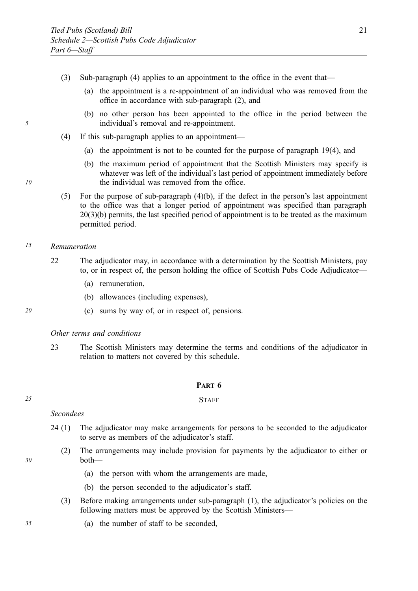- (3) Sub-paragraph (4) applies to an appointment to the office in the event that—
	- (a) the appointment is a re-appointment of an individual who was removed from the office in accordance with sub-paragraph (2), and
	- (b) no other person has been appointed to the office in the period between the individual's removal and re-appointment.
- (4) If this sub-paragraph applies to an appointment—
	- (a) the appointment is not to be counted for the purpose of paragraph 19(4), and
	- (b) the maximum period of appointment that the Scottish Ministers may specify is whatever was left of the individual's last period of appointment immediately before the individual was removed from the office.
- (5) For the purpose of sub-paragraph (4)(b), if the defect in the person's last appointment to the office was that a longer period of appointment was specified than paragraph 20(3)(b) permits, the last specified period of appointment is to be treated as the maximum permitted period.

# *15 Remuneration*

- 22 The adjudicator may, in accordance with a determination by the Scottish Ministers, pay to, or in respect of, the person holding the office of Scottish Pubs Code Adjudicator—
	- (a) remuneration,
	- (b) allowances (including expenses),
- *20* (c) sums by way of, or in respect of, pensions.

*Other terms and conditions* 

23 The Scottish Ministers may determine the terms and conditions of the adjudicator in relation to matters not covered by this schedule.

# **PART 6**

### *25* STAFF

*Secondees* 

- The adjudicator may make arrangements for persons to be seconded to the adjudicator to serve as members of the adjudicator's staff.  $24(1)$ 
	- (2) The arrangements may include provision for payments by the adjudicator to either or both—
		- (a) the person with whom the arrangements are made,
		- (b) the person seconded to the adjudicator's staff.
	- (3) Before making arrangements under sub-paragraph (1), the adjudicator's policies on the following matters must be approved by the Scottish Ministers—
- *35* (a) the number of staff to be seconded,

*30* 

- 
-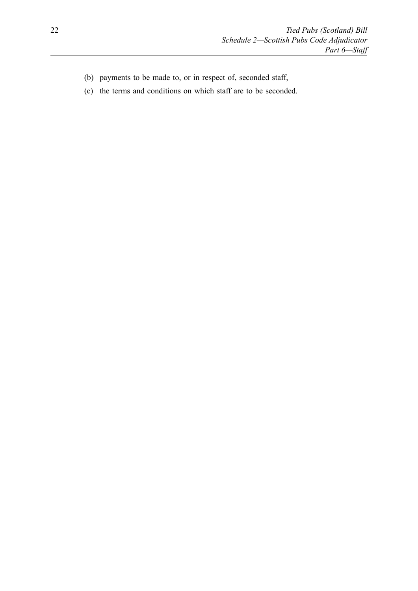- (b) payments to be made to, or in respect of, seconded staff,
- (c) the terms and conditions on which staff are to be seconded.